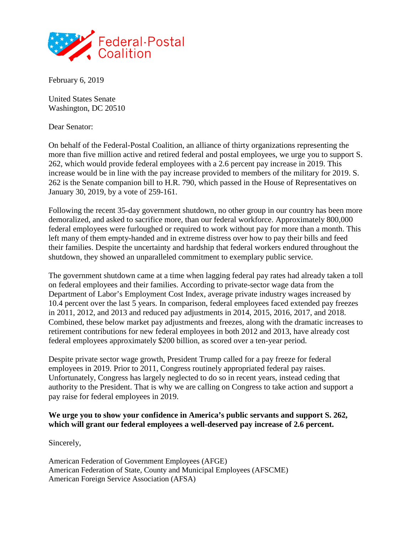

February 6, 2019

United States Senate Washington, DC 20510

Dear Senator:

On behalf of the Federal-Postal Coalition, an alliance of thirty organizations representing the more than five million active and retired federal and postal employees, we urge you to support S. 262, which would provide federal employees with a 2.6 percent pay increase in 2019. This increase would be in line with the pay increase provided to members of the military for 2019. S. 262 is the Senate companion bill to H.R. 790, which passed in the House of Representatives on January 30, 2019, by a vote of 259-161.

Following the recent 35-day government shutdown, no other group in our country has been more demoralized, and asked to sacrifice more, than our federal workforce. Approximately 800,000 federal employees were furloughed or required to work without pay for more than a month. This left many of them empty-handed and in extreme distress over how to pay their bills and feed their families. Despite the uncertainty and hardship that federal workers endured throughout the shutdown, they showed an unparalleled commitment to exemplary public service.

The government shutdown came at a time when lagging federal pay rates had already taken a toll on federal employees and their families. According to private-sector wage data from the Department of Labor's Employment Cost Index, average private industry wages increased by 10.4 percent over the last 5 years. In comparison, federal employees faced extended pay freezes in 2011, 2012, and 2013 and reduced pay adjustments in 2014, 2015, 2016, 2017, and 2018. Combined, these below market pay adjustments and freezes, along with the dramatic increases to retirement contributions for new federal employees in both 2012 and 2013, have already cost federal employees approximately \$200 billion, as scored over a ten-year period.

Despite private sector wage growth, President Trump called for a pay freeze for federal employees in 2019. Prior to 2011, Congress routinely appropriated federal pay raises. Unfortunately, Congress has largely neglected to do so in recent years, instead ceding that authority to the President. That is why we are calling on Congress to take action and support a pay raise for federal employees in 2019.

## **We urge you to show your confidence in America's public servants and support S. 262, which will grant our federal employees a well-deserved pay increase of 2.6 percent.**

Sincerely,

American Federation of Government Employees (AFGE) American Federation of State, County and Municipal Employees (AFSCME) American Foreign Service Association (AFSA)